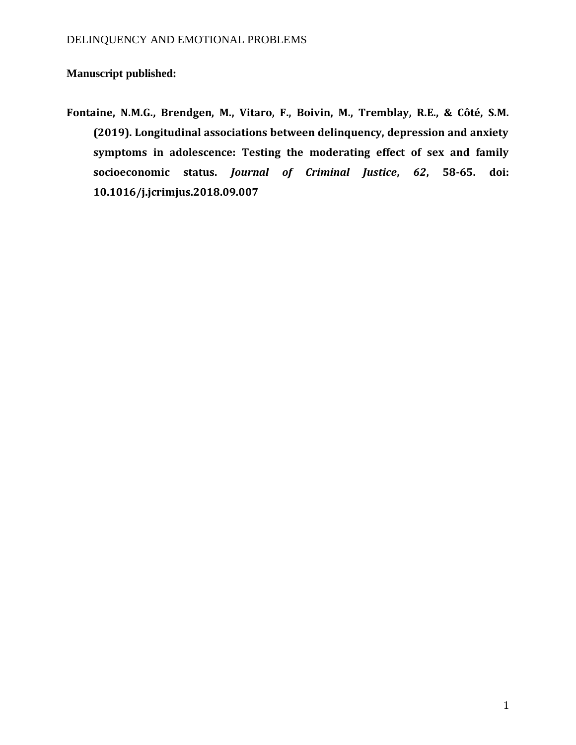**Manuscript published:** 

**Fontaine, N.M.G., Brendgen, M., Vitaro, F., Boivin, M., Tremblay, R.E., & Côté, S.M. (2019). Longitudinal associations between delinquency, depression and anxiety symptoms in adolescence: Testing the moderating effect of sex and family socioeconomic status.** *Journal of Criminal Justice***,** *62***, 58-65. doi: 10.1016/j.jcrimjus.2018.09.007**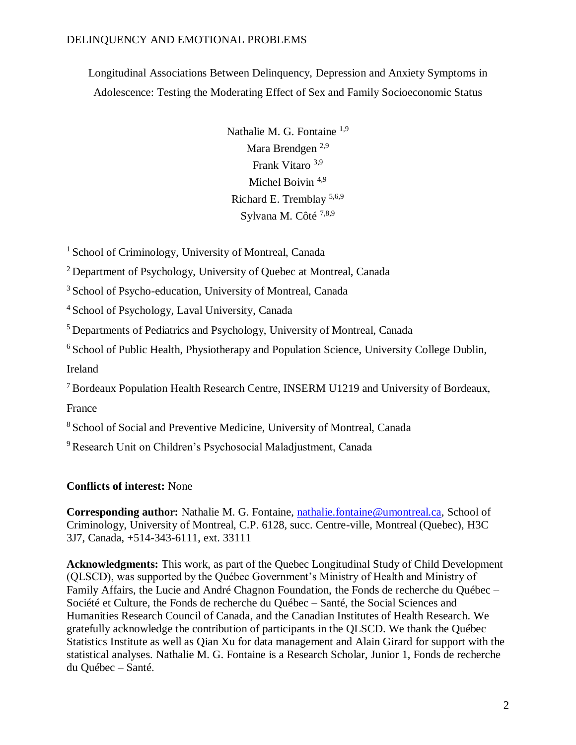Longitudinal Associations Between Delinquency, Depression and Anxiety Symptoms in Adolescence: Testing the Moderating Effect of Sex and Family Socioeconomic Status

> Nathalie M. G. Fontaine <sup>1,9</sup> Mara Brendgen 2,9 Frank Vitaro 3,9 Michel Boivin<sup>4,9</sup> Richard E. Tremblay 5,6,9 Sylvana M. Côté<sup>7,8,9</sup>

<sup>1</sup> School of Criminology, University of Montreal, Canada

<sup>2</sup> Department of Psychology, University of Quebec at Montreal, Canada

<sup>3</sup> School of Psycho-education, University of Montreal, Canada

<sup>4</sup>School of Psychology, Laval University, Canada

<sup>5</sup> Departments of Pediatrics and Psychology, University of Montreal, Canada

<sup>6</sup> School of Public Health, Physiotherapy and Population Science, University College Dublin, Ireland

<sup>7</sup> Bordeaux Population Health Research Centre, INSERM U1219 and University of Bordeaux,

France

<sup>8</sup> School of Social and Preventive Medicine, University of Montreal, Canada

<sup>9</sup> Research Unit on Children's Psychosocial Maladjustment, Canada

## **Conflicts of interest:** None

**Corresponding author:** Nathalie M. G. Fontaine, [nathalie.fontaine@umontreal.ca,](mailto:nathalie.fontaine@umontreal.ca) School of Criminology, University of Montreal, C.P. 6128, succ. Centre-ville, Montreal (Quebec), H3C 3J7, Canada, +514-343-6111, ext. 33111

**Acknowledgments:** This work, as part of the Quebec Longitudinal Study of Child Development (QLSCD), was supported by the Québec Government's Ministry of Health and Ministry of Family Affairs, the Lucie and André Chagnon Foundation, the Fonds de recherche du Québec – Société et Culture, the Fonds de recherche du Québec – Santé, the Social Sciences and Humanities Research Council of Canada, and the Canadian Institutes of Health Research. We gratefully acknowledge the contribution of participants in the QLSCD. We thank the Québec Statistics Institute as well as Qian Xu for data management and Alain Girard for support with the statistical analyses. Nathalie M. G. Fontaine is a Research Scholar, Junior 1, Fonds de recherche du Québec – Santé.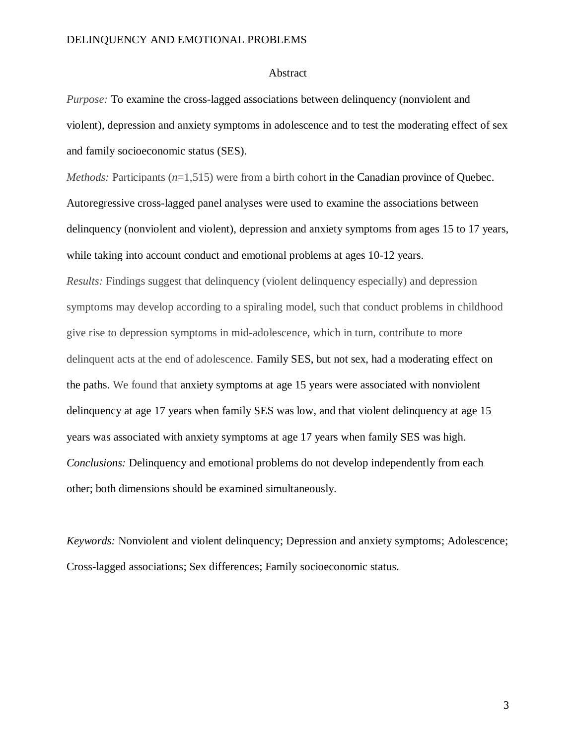#### Abstract

*Purpose:* To examine the cross-lagged associations between delinquency (nonviolent and violent), depression and anxiety symptoms in adolescence and to test the moderating effect of sex and family socioeconomic status (SES).

*Methods:* Participants  $(n=1,515)$  were from a birth cohort in the Canadian province of Ouebec. Autoregressive cross-lagged panel analyses were used to examine the associations between delinquency (nonviolent and violent), depression and anxiety symptoms from ages 15 to 17 years, while taking into account conduct and emotional problems at ages 10-12 years.

*Results:* Findings suggest that delinquency (violent delinquency especially) and depression symptoms may develop according to a spiraling model, such that conduct problems in childhood give rise to depression symptoms in mid-adolescence, which in turn, contribute to more delinquent acts at the end of adolescence. Family SES, but not sex, had a moderating effect on the paths. We found that anxiety symptoms at age 15 years were associated with nonviolent delinquency at age 17 years when family SES was low, and that violent delinquency at age 15 years was associated with anxiety symptoms at age 17 years when family SES was high. *Conclusions:* Delinquency and emotional problems do not develop independently from each other; both dimensions should be examined simultaneously.

*Keywords:* Nonviolent and violent delinquency; Depression and anxiety symptoms; Adolescence; Cross-lagged associations; Sex differences; Family socioeconomic status.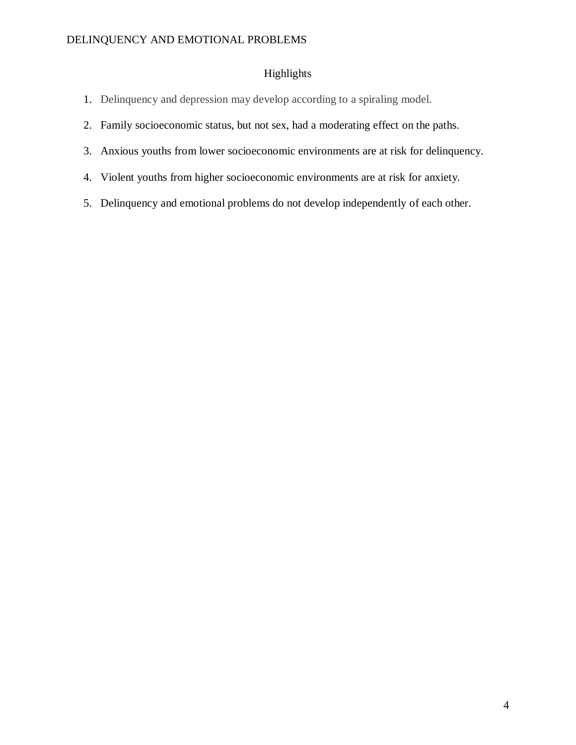## Highlights

- 1. Delinquency and depression may develop according to a spiraling model.
- 2. Family socioeconomic status, but not sex, had a moderating effect on the paths.
- 3. Anxious youths from lower socioeconomic environments are at risk for delinquency.
- 4. Violent youths from higher socioeconomic environments are at risk for anxiety.
- 5. Delinquency and emotional problems do not develop independently of each other.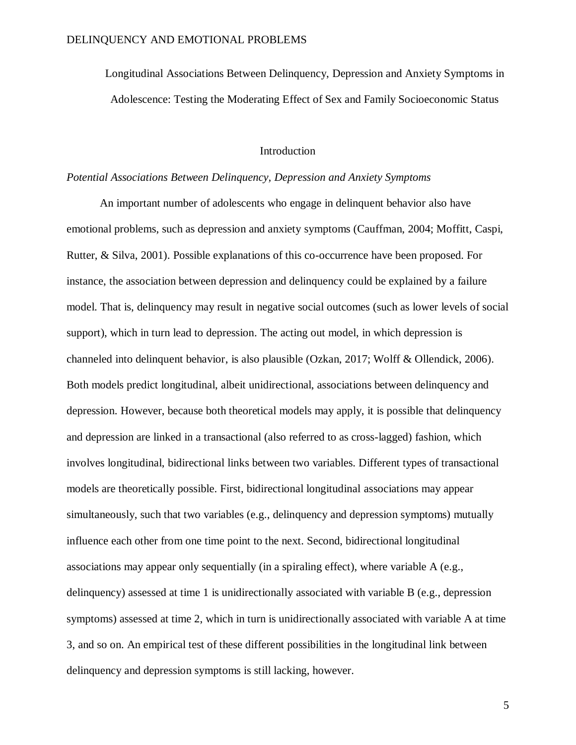Longitudinal Associations Between Delinquency, Depression and Anxiety Symptoms in Adolescence: Testing the Moderating Effect of Sex and Family Socioeconomic Status

## Introduction

#### *Potential Associations Between Delinquency, Depression and Anxiety Symptoms*

An important number of adolescents who engage in delinquent behavior also have emotional problems, such as depression and anxiety symptoms (Cauffman, 2004; Moffitt, Caspi, Rutter, & Silva, 2001). Possible explanations of this co-occurrence have been proposed. For instance, the association between depression and delinquency could be explained by a failure model. That is, delinquency may result in negative social outcomes (such as lower levels of social support), which in turn lead to depression. The acting out model, in which depression is channeled into delinquent behavior, is also plausible (Ozkan, 2017; Wolff & Ollendick, 2006). Both models predict longitudinal, albeit unidirectional, associations between delinquency and depression. However, because both theoretical models may apply, it is possible that delinquency and depression are linked in a transactional (also referred to as cross-lagged) fashion, which involves longitudinal, bidirectional links between two variables. Different types of transactional models are theoretically possible. First, bidirectional longitudinal associations may appear simultaneously, such that two variables (e.g., delinquency and depression symptoms) mutually influence each other from one time point to the next. Second, bidirectional longitudinal associations may appear only sequentially (in a spiraling effect), where variable A (e.g., delinquency) assessed at time 1 is unidirectionally associated with variable B (e.g., depression symptoms) assessed at time 2, which in turn is unidirectionally associated with variable A at time 3, and so on. An empirical test of these different possibilities in the longitudinal link between delinquency and depression symptoms is still lacking, however.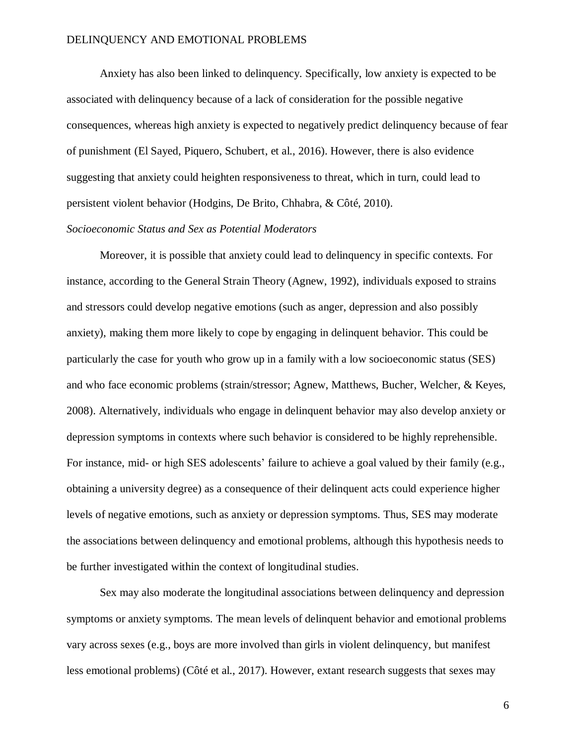Anxiety has also been linked to delinquency. Specifically, low anxiety is expected to be associated with delinquency because of a lack of consideration for the possible negative consequences, whereas high anxiety is expected to negatively predict delinquency because of fear of punishment (El Sayed, Piquero, Schubert, et al., 2016). However, there is also evidence suggesting that anxiety could heighten responsiveness to threat, which in turn, could lead to persistent violent behavior (Hodgins, De Brito, Chhabra, & Côté, 2010).

#### *Socioeconomic Status and Sex as Potential Moderators*

Moreover, it is possible that anxiety could lead to delinquency in specific contexts. For instance, according to the General Strain Theory (Agnew, 1992), individuals exposed to strains and stressors could develop negative emotions (such as anger, depression and also possibly anxiety), making them more likely to cope by engaging in delinquent behavior. This could be particularly the case for youth who grow up in a family with a low socioeconomic status (SES) and who face economic problems (strain/stressor; Agnew, Matthews, Bucher, Welcher, & Keyes, 2008). Alternatively, individuals who engage in delinquent behavior may also develop anxiety or depression symptoms in contexts where such behavior is considered to be highly reprehensible. For instance, mid- or high SES adolescents' failure to achieve a goal valued by their family (e.g., obtaining a university degree) as a consequence of their delinquent acts could experience higher levels of negative emotions, such as anxiety or depression symptoms. Thus, SES may moderate the associations between delinquency and emotional problems, although this hypothesis needs to be further investigated within the context of longitudinal studies.

Sex may also moderate the longitudinal associations between delinquency and depression symptoms or anxiety symptoms. The mean levels of delinquent behavior and emotional problems vary across sexes (e.g., boys are more involved than girls in violent delinquency, but manifest less emotional problems) (Côté et al., 2017). However, extant research suggests that sexes may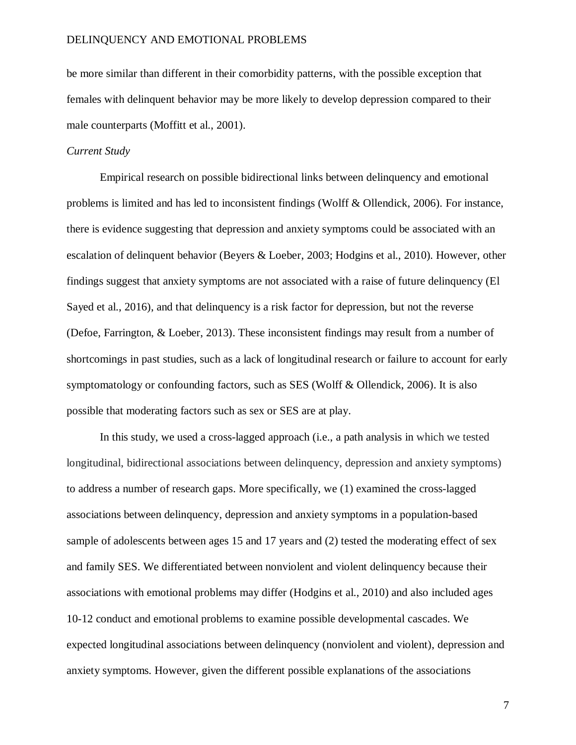be more similar than different in their comorbidity patterns, with the possible exception that females with delinquent behavior may be more likely to develop depression compared to their male counterparts (Moffitt et al., 2001).

#### *Current Study*

Empirical research on possible bidirectional links between delinquency and emotional problems is limited and has led to inconsistent findings (Wolff & Ollendick, 2006). For instance, there is evidence suggesting that depression and anxiety symptoms could be associated with an escalation of delinquent behavior (Beyers & Loeber, 2003; Hodgins et al., 2010). However, other findings suggest that anxiety symptoms are not associated with a raise of future delinquency (El Sayed et al., 2016), and that delinquency is a risk factor for depression, but not the reverse (Defoe, Farrington, & Loeber, 2013). These inconsistent findings may result from a number of shortcomings in past studies, such as a lack of longitudinal research or failure to account for early symptomatology or confounding factors, such as SES (Wolff & Ollendick, 2006). It is also possible that moderating factors such as sex or SES are at play.

In this study, we used a cross-lagged approach (i.e., a path analysis in which we tested longitudinal, bidirectional associations between delinquency, depression and anxiety symptoms) to address a number of research gaps. More specifically, we (1) examined the cross-lagged associations between delinquency, depression and anxiety symptoms in a population-based sample of adolescents between ages 15 and 17 years and (2) tested the moderating effect of sex and family SES. We differentiated between nonviolent and violent delinquency because their associations with emotional problems may differ (Hodgins et al., 2010) and also included ages 10-12 conduct and emotional problems to examine possible developmental cascades. We expected longitudinal associations between delinquency (nonviolent and violent), depression and anxiety symptoms. However, given the different possible explanations of the associations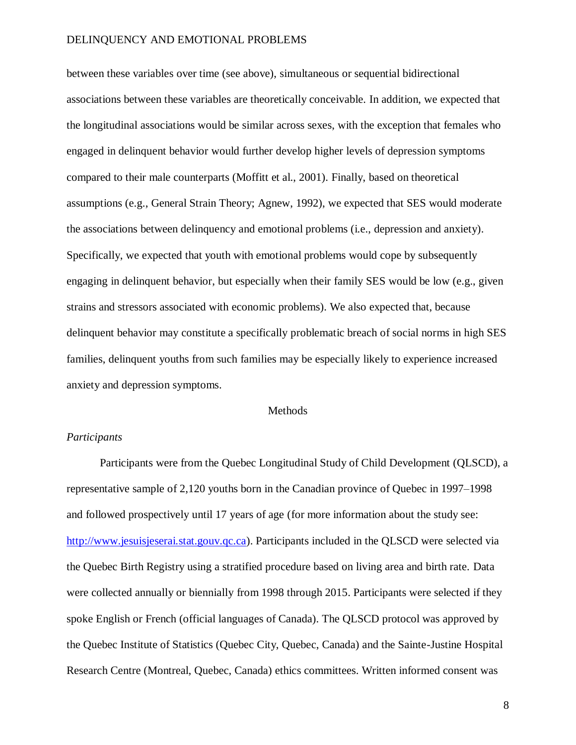between these variables over time (see above), simultaneous or sequential bidirectional associations between these variables are theoretically conceivable. In addition, we expected that the longitudinal associations would be similar across sexes, with the exception that females who engaged in delinquent behavior would further develop higher levels of depression symptoms compared to their male counterparts (Moffitt et al., 2001). Finally, based on theoretical assumptions (e.g., General Strain Theory; Agnew, 1992), we expected that SES would moderate the associations between delinquency and emotional problems (i.e., depression and anxiety). Specifically, we expected that youth with emotional problems would cope by subsequently engaging in delinquent behavior, but especially when their family SES would be low (e.g., given strains and stressors associated with economic problems). We also expected that, because delinquent behavior may constitute a specifically problematic breach of social norms in high SES families, delinquent youths from such families may be especially likely to experience increased anxiety and depression symptoms.

### Methods

## *Participants*

Participants were from the Quebec Longitudinal Study of Child Development (QLSCD), a representative sample of 2,120 youths born in the Canadian province of Quebec in 1997–1998 and followed prospectively until 17 years of age (for more information about the study see: [http://www.jesuisjeserai.stat.gouv.qc.ca\)](http://www.jesuisjeserai.stat.gouv.qc.ca/). Participants included in the QLSCD were selected via the Quebec Birth Registry using a stratified procedure based on living area and birth rate. Data were collected annually or biennially from 1998 through 2015. Participants were selected if they spoke English or French (official languages of Canada). The QLSCD protocol was approved by the Quebec Institute of Statistics (Quebec City, Quebec, Canada) and the Sainte-Justine Hospital Research Centre (Montreal, Quebec, Canada) ethics committees. Written informed consent was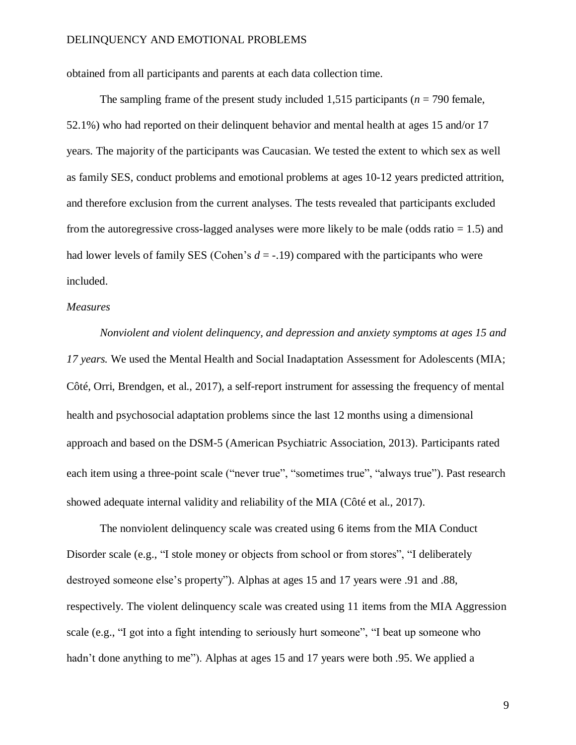obtained from all participants and parents at each data collection time.

The sampling frame of the present study included  $1,515$  participants ( $n = 790$  female, 52.1%) who had reported on their delinquent behavior and mental health at ages 15 and/or 17 years. The majority of the participants was Caucasian. We tested the extent to which sex as well as family SES, conduct problems and emotional problems at ages 10-12 years predicted attrition, and therefore exclusion from the current analyses. The tests revealed that participants excluded from the autoregressive cross-lagged analyses were more likely to be male (odds ratio  $= 1.5$ ) and had lower levels of family SES (Cohen's  $d = -19$ ) compared with the participants who were included.

## *Measures*

*Nonviolent and violent delinquency, and depression and anxiety symptoms at ages 15 and 17 years.* We used the Mental Health and Social Inadaptation Assessment for Adolescents (MIA; Côté, Orri, Brendgen, et al., 2017), a self‐report instrument for assessing the frequency of mental health and psychosocial adaptation problems since the last 12 months using a dimensional approach and based on the DSM‐5 (American Psychiatric Association, 2013). Participants rated each item using a three-point scale ("never true", "sometimes true", "always true"). Past research showed adequate internal validity and reliability of the MIA (Côté et al., 2017).

The nonviolent delinquency scale was created using 6 items from the MIA Conduct Disorder scale (e.g., "I stole money or objects from school or from stores", "I deliberately destroyed someone else's property"). Alphas at ages 15 and 17 years were .91 and .88, respectively. The violent delinquency scale was created using 11 items from the MIA Aggression scale (e.g., "I got into a fight intending to seriously hurt someone", "I beat up someone who hadn't done anything to me"). Alphas at ages 15 and 17 years were both .95. We applied a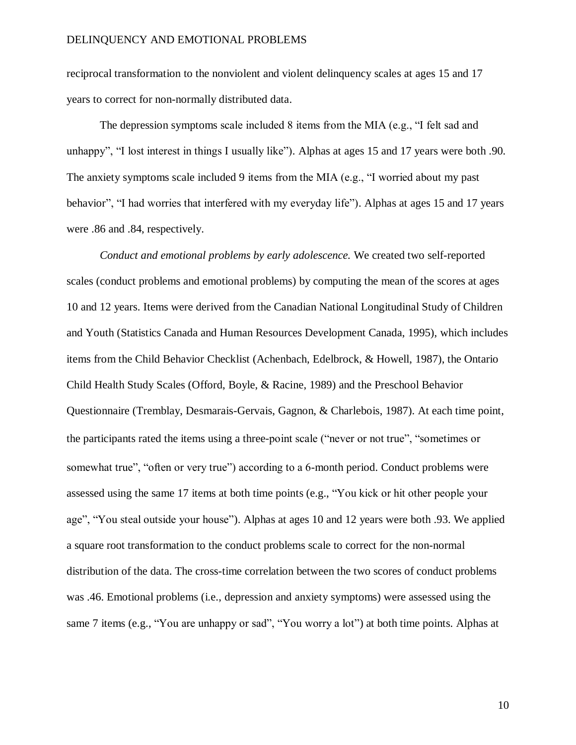reciprocal transformation to the nonviolent and violent delinquency scales at ages 15 and 17 years to correct for non-normally distributed data.

The depression symptoms scale included 8 items from the MIA (e.g., "I felt sad and unhappy", "I lost interest in things I usually like"). Alphas at ages 15 and 17 years were both .90. The anxiety symptoms scale included 9 items from the MIA (e.g., "I worried about my past behavior", "I had worries that interfered with my everyday life"). Alphas at ages 15 and 17 years were .86 and .84, respectively.

*Conduct and emotional problems by early adolescence.* We created two self-reported scales (conduct problems and emotional problems) by computing the mean of the scores at ages 10 and 12 years. Items were derived from the Canadian National Longitudinal Study of Children and Youth (Statistics Canada and Human Resources Development Canada, 1995), which includes items from the Child Behavior Checklist (Achenbach, Edelbrock, & Howell, 1987), the Ontario Child Health Study Scales (Offord, Boyle, & Racine, 1989) and the Preschool Behavior Questionnaire (Tremblay, Desmarais-Gervais, Gagnon, & Charlebois, 1987). At each time point, the participants rated the items using a three‐point scale ("never or not true", "sometimes or somewhat true", "often or very true") according to a 6-month period. Conduct problems were assessed using the same 17 items at both time points (e.g., "You kick or hit other people your age", "You steal outside your house"). Alphas at ages 10 and 12 years were both .93. We applied a square root transformation to the conduct problems scale to correct for the non-normal distribution of the data. The cross-time correlation between the two scores of conduct problems was .46. Emotional problems (i.e., depression and anxiety symptoms) were assessed using the same 7 items (e.g., "You are unhappy or sad", "You worry a lot") at both time points. Alphas at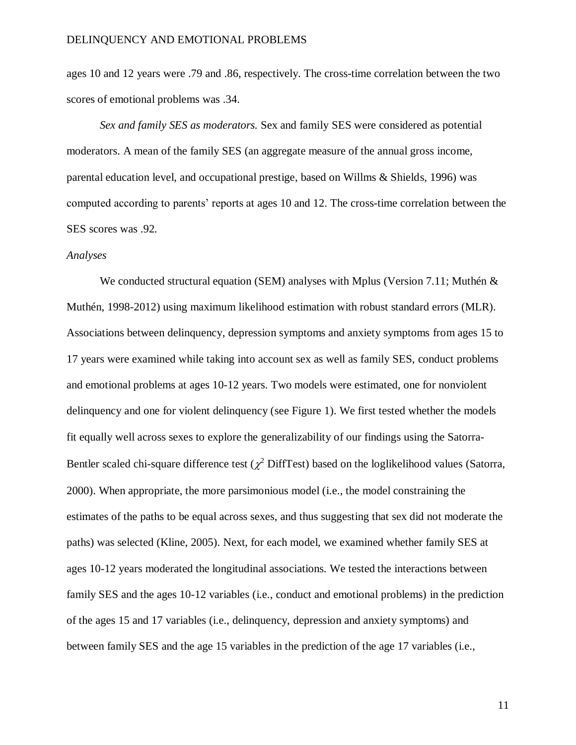ages 10 and 12 years were .79 and .86, respectively. The cross-time correlation between the two scores of emotional problems was .34.

*Sex and family SES as moderators.* Sex and family SES were considered as potential moderators. A mean of the family SES (an aggregate measure of the annual gross income, parental education level, and occupational prestige, based on Willms & Shields, 1996) was computed according to parents' reports at ages 10 and 12. The cross-time correlation between the SES scores was .92.

#### *Analyses*

We conducted structural equation (SEM) analyses with Mplus (Version 7.11; Muthén & Muthén, 1998-2012) using maximum likelihood estimation with robust standard errors (MLR). Associations between delinquency, depression symptoms and anxiety symptoms from ages 15 to 17 years were examined while taking into account sex as well as family SES, conduct problems and emotional problems at ages 10-12 years. Two models were estimated, one for nonviolent delinquency and one for violent delinquency (see Figure 1). We first tested whether the models fit equally well across sexes to explore the generalizability of our findings using the Satorra-Bentler scaled chi-square difference test ( $\chi^2$  DiffTest) based on the loglikelihood values (Satorra, 2000). When appropriate, the more parsimonious model (i.e., the model constraining the estimates of the paths to be equal across sexes, and thus suggesting that sex did not moderate the paths) was selected (Kline, 2005). Next, for each model, we examined whether family SES at ages 10-12 years moderated the longitudinal associations. We tested the interactions between family SES and the ages 10-12 variables (i.e., conduct and emotional problems) in the prediction of the ages 15 and 17 variables (i.e., delinquency, depression and anxiety symptoms) and between family SES and the age 15 variables in the prediction of the age 17 variables (i.e.,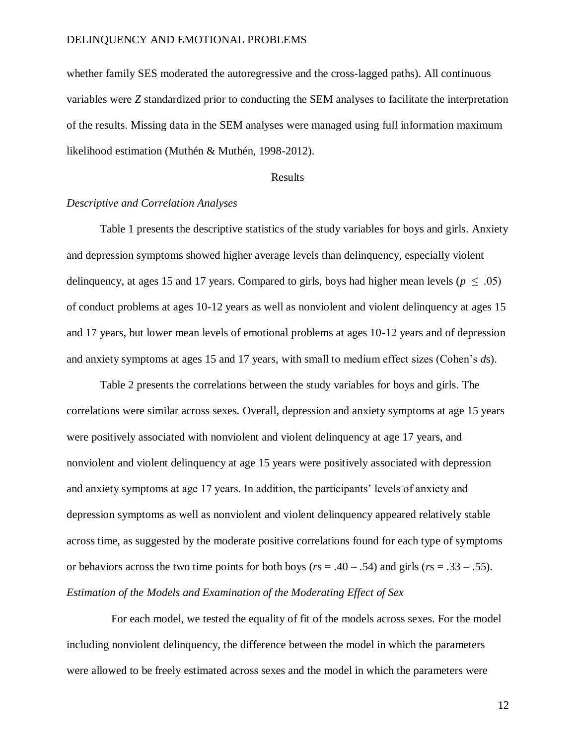whether family SES moderated the autoregressive and the cross-lagged paths). All continuous variables were *Z* standardized prior to conducting the SEM analyses to facilitate the interpretation of the results. Missing data in the SEM analyses were managed using full information maximum likelihood estimation (Muthén & Muthén, 1998-2012).

#### Results

#### *Descriptive and Correlation Analyses*

Table 1 presents the descriptive statistics of the study variables for boys and girls. Anxiety and depression symptoms showed higher average levels than delinquency, especially violent delinquency, at ages 15 and 17 years. Compared to girls, boys had higher mean levels ( $p \leq .05$ ) of conduct problems at ages 10-12 years as well as nonviolent and violent delinquency at ages 15 and 17 years, but lower mean levels of emotional problems at ages 10-12 years and of depression and anxiety symptoms at ages 15 and 17 years, with small to medium effect sizes (Cohen's *d*s).

Table 2 presents the correlations between the study variables for boys and girls. The correlations were similar across sexes. Overall, depression and anxiety symptoms at age 15 years were positively associated with nonviolent and violent delinquency at age 17 years, and nonviolent and violent delinquency at age 15 years were positively associated with depression and anxiety symptoms at age 17 years. In addition, the participants' levels of anxiety and depression symptoms as well as nonviolent and violent delinquency appeared relatively stable across time, as suggested by the moderate positive correlations found for each type of symptoms or behaviors across the two time points for both boys (*r*s = .40 – .54) and girls (*r*s = .33 – .55). *Estimation of the Models and Examination of the Moderating Effect of Sex*

 For each model, we tested the equality of fit of the models across sexes. For the model including nonviolent delinquency, the difference between the model in which the parameters were allowed to be freely estimated across sexes and the model in which the parameters were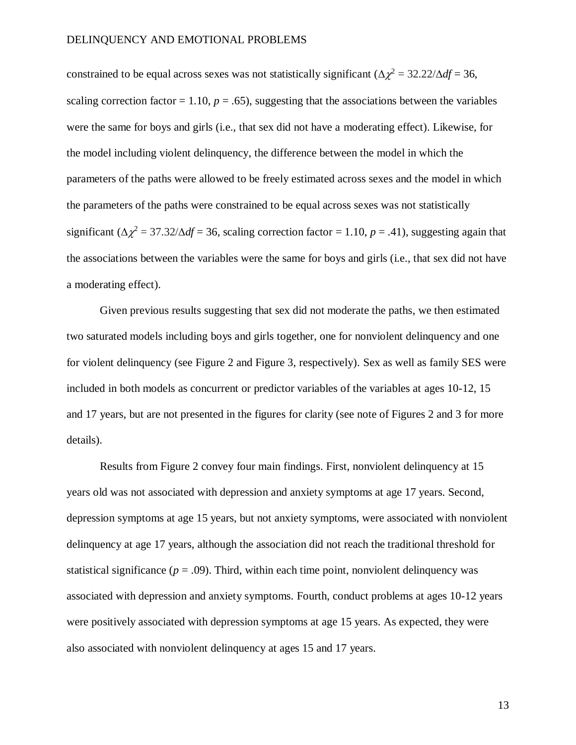constrained to be equal across sexes was not statistically significant  $(\Delta \chi^2 = 32.22/\Delta df = 36$ , scaling correction factor = 1.10,  $p = .65$ ), suggesting that the associations between the variables were the same for boys and girls (i.e., that sex did not have a moderating effect). Likewise, for the model including violent delinquency, the difference between the model in which the parameters of the paths were allowed to be freely estimated across sexes and the model in which the parameters of the paths were constrained to be equal across sexes was not statistically significant  $(\Delta \chi^2 = 37.32/\Delta df = 36$ , scaling correction factor = 1.10,  $p = .41$ ), suggesting again that the associations between the variables were the same for boys and girls (i.e., that sex did not have a moderating effect).

Given previous results suggesting that sex did not moderate the paths, we then estimated two saturated models including boys and girls together, one for nonviolent delinquency and one for violent delinquency (see Figure 2 and Figure 3, respectively). Sex as well as family SES were included in both models as concurrent or predictor variables of the variables at ages 10-12, 15 and 17 years, but are not presented in the figures for clarity (see note of Figures 2 and 3 for more details).

Results from Figure 2 convey four main findings. First, nonviolent delinquency at 15 years old was not associated with depression and anxiety symptoms at age 17 years. Second, depression symptoms at age 15 years, but not anxiety symptoms, were associated with nonviolent delinquency at age 17 years, although the association did not reach the traditional threshold for statistical significance ( $p = .09$ ). Third, within each time point, nonviolent delinquency was associated with depression and anxiety symptoms. Fourth, conduct problems at ages 10-12 years were positively associated with depression symptoms at age 15 years. As expected, they were also associated with nonviolent delinquency at ages 15 and 17 years.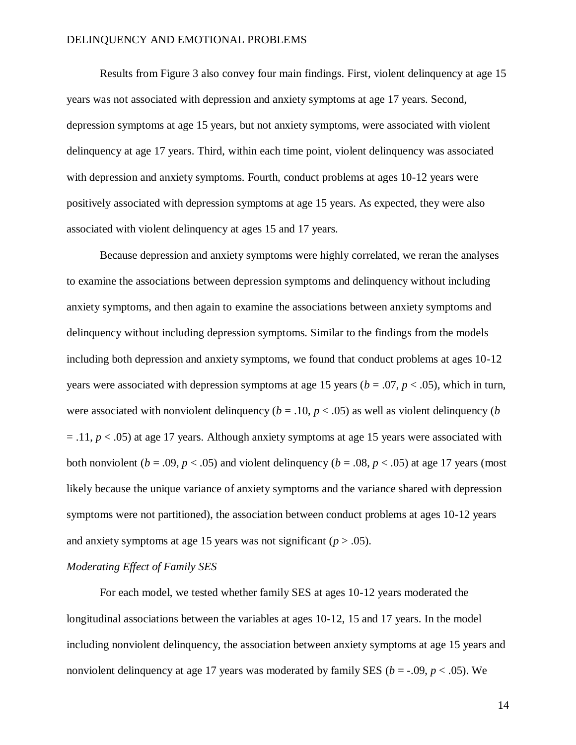Results from Figure 3 also convey four main findings. First, violent delinquency at age 15 years was not associated with depression and anxiety symptoms at age 17 years. Second, depression symptoms at age 15 years, but not anxiety symptoms, were associated with violent delinquency at age 17 years. Third, within each time point, violent delinquency was associated with depression and anxiety symptoms. Fourth, conduct problems at ages 10-12 years were positively associated with depression symptoms at age 15 years. As expected, they were also associated with violent delinquency at ages 15 and 17 years.

Because depression and anxiety symptoms were highly correlated, we reran the analyses to examine the associations between depression symptoms and delinquency without including anxiety symptoms, and then again to examine the associations between anxiety symptoms and delinquency without including depression symptoms. Similar to the findings from the models including both depression and anxiety symptoms, we found that conduct problems at ages 10-12 years were associated with depression symptoms at age 15 years (*b* = .07, *p* < .05), which in turn, were associated with nonviolent delinquency ( $b = .10$ ,  $p < .05$ ) as well as violent delinquency ( $b$  $=$  .11,  $p$  < .05) at age 17 years. Although anxiety symptoms at age 15 years were associated with both nonviolent ( $b = .09$ ,  $p < .05$ ) and violent delinquency ( $b = .08$ ,  $p < .05$ ) at age 17 years (most likely because the unique variance of anxiety symptoms and the variance shared with depression symptoms were not partitioned), the association between conduct problems at ages 10-12 years and anxiety symptoms at age 15 years was not significant  $(p > .05)$ .

## *Moderating Effect of Family SES*

For each model, we tested whether family SES at ages 10-12 years moderated the longitudinal associations between the variables at ages 10-12, 15 and 17 years. In the model including nonviolent delinquency, the association between anxiety symptoms at age 15 years and nonviolent delinquency at age 17 years was moderated by family SES ( $b = -0.09$ ,  $p < .05$ ). We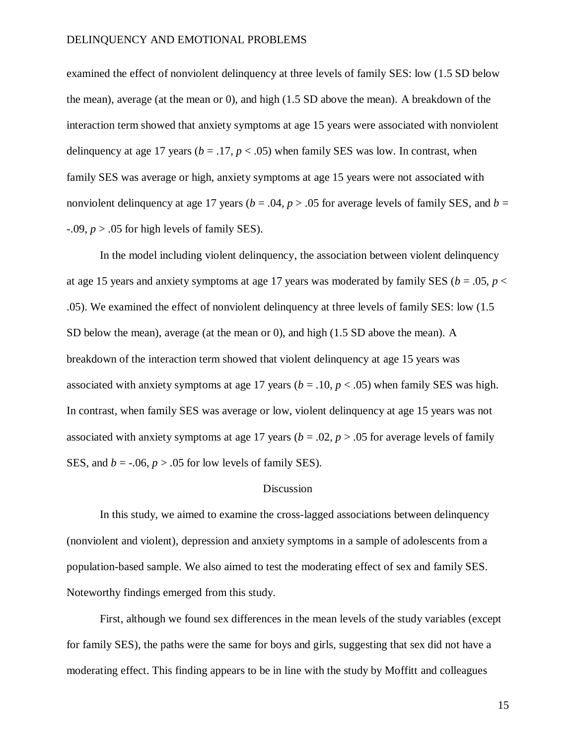examined the effect of nonviolent delinquency at three levels of family SES: low (1.5 SD below the mean), average (at the mean or 0), and high (1.5 SD above the mean). A breakdown of the interaction term showed that anxiety symptoms at age 15 years were associated with nonviolent delinquency at age 17 years ( $b = .17$ ,  $p < .05$ ) when family SES was low. In contrast, when family SES was average or high, anxiety symptoms at age 15 years were not associated with nonviolent delinquency at age 17 years ( $b = .04$ ,  $p > .05$  for average levels of family SES, and  $b =$  $-0.09$ ,  $p > 0.05$  for high levels of family SES).

In the model including violent delinquency, the association between violent delinquency at age 15 years and anxiety symptoms at age 17 years was moderated by family SES ( $b = .05$ ,  $p <$ .05). We examined the effect of nonviolent delinquency at three levels of family SES: low (1.5 SD below the mean), average (at the mean or 0), and high (1.5 SD above the mean). A breakdown of the interaction term showed that violent delinquency at age 15 years was associated with anxiety symptoms at age 17 years ( $b = .10$ ,  $p < .05$ ) when family SES was high. In contrast, when family SES was average or low, violent delinquency at age 15 years was not associated with anxiety symptoms at age 17 years ( $b = .02$ ,  $p > .05$  for average levels of family SES, and  $b = -0.06$ ,  $p > 0.05$  for low levels of family SES).

## Discussion

In this study, we aimed to examine the cross-lagged associations between delinquency (nonviolent and violent), depression and anxiety symptoms in a sample of adolescents from a population-based sample. We also aimed to test the moderating effect of sex and family SES. Noteworthy findings emerged from this study.

First, although we found sex differences in the mean levels of the study variables (except for family SES), the paths were the same for boys and girls, suggesting that sex did not have a moderating effect. This finding appears to be in line with the study by Moffitt and colleagues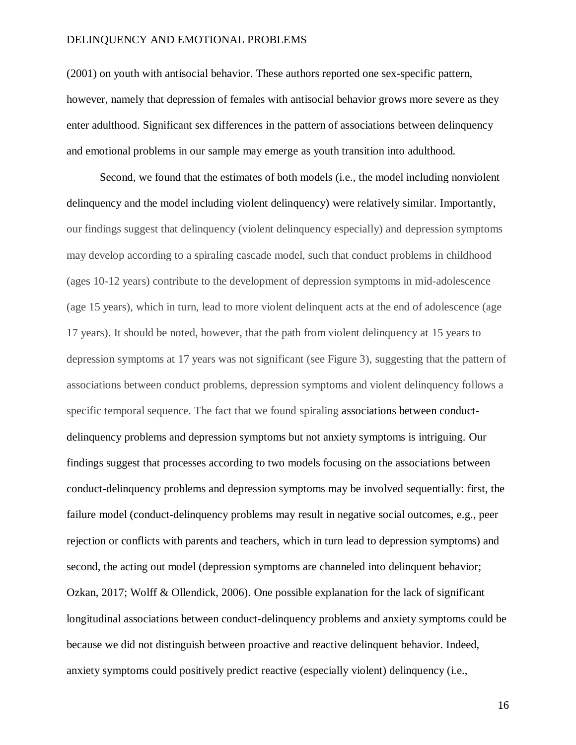(2001) on youth with antisocial behavior. These authors reported one sex-specific pattern, however, namely that depression of females with antisocial behavior grows more severe as they enter adulthood. Significant sex differences in the pattern of associations between delinquency and emotional problems in our sample may emerge as youth transition into adulthood.

Second, we found that the estimates of both models (i.e., the model including nonviolent delinquency and the model including violent delinquency) were relatively similar. Importantly, our findings suggest that delinquency (violent delinquency especially) and depression symptoms may develop according to a spiraling cascade model, such that conduct problems in childhood (ages 10-12 years) contribute to the development of depression symptoms in mid-adolescence (age 15 years), which in turn, lead to more violent delinquent acts at the end of adolescence (age 17 years). It should be noted, however, that the path from violent delinquency at 15 years to depression symptoms at 17 years was not significant (see Figure 3), suggesting that the pattern of associations between conduct problems, depression symptoms and violent delinquency follows a specific temporal sequence. The fact that we found spiraling associations between conductdelinquency problems and depression symptoms but not anxiety symptoms is intriguing. Our findings suggest that processes according to two models focusing on the associations between conduct-delinquency problems and depression symptoms may be involved sequentially: first, the failure model (conduct-delinquency problems may result in negative social outcomes, e.g., peer rejection or conflicts with parents and teachers, which in turn lead to depression symptoms) and second, the acting out model (depression symptoms are channeled into delinquent behavior; Ozkan, 2017; Wolff & Ollendick, 2006). One possible explanation for the lack of significant longitudinal associations between conduct-delinquency problems and anxiety symptoms could be because we did not distinguish between proactive and reactive delinquent behavior. Indeed, anxiety symptoms could positively predict reactive (especially violent) delinquency (i.e.,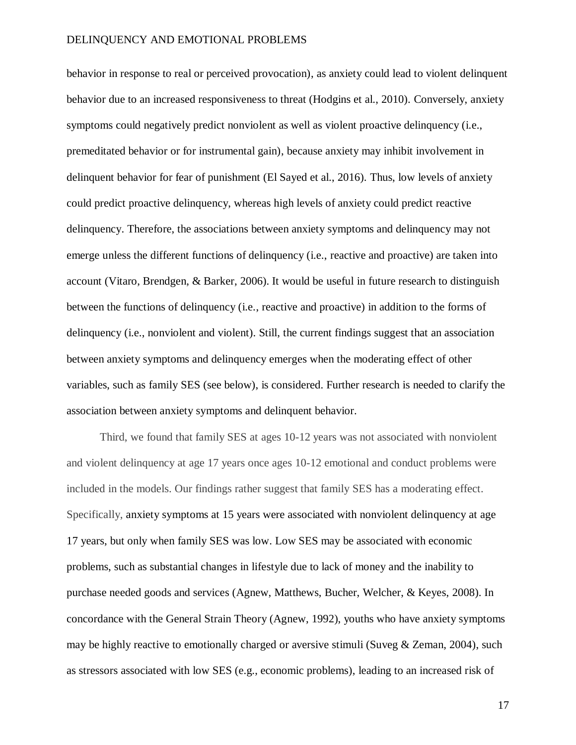behavior in response to real or perceived provocation), as anxiety could lead to violent delinquent behavior due to an increased responsiveness to threat (Hodgins et al., 2010). Conversely, anxiety symptoms could negatively predict nonviolent as well as violent proactive delinquency (i.e., premeditated behavior or for instrumental gain), because anxiety may inhibit involvement in delinquent behavior for fear of punishment (El Sayed et al., 2016). Thus, low levels of anxiety could predict proactive delinquency, whereas high levels of anxiety could predict reactive delinquency. Therefore, the associations between anxiety symptoms and delinquency may not emerge unless the different functions of delinquency (i.e., reactive and proactive) are taken into account (Vitaro, Brendgen, & Barker, 2006). It would be useful in future research to distinguish between the functions of delinquency (i.e., reactive and proactive) in addition to the forms of delinquency (i.e., nonviolent and violent). Still, the current findings suggest that an association between anxiety symptoms and delinquency emerges when the moderating effect of other variables, such as family SES (see below), is considered. Further research is needed to clarify the association between anxiety symptoms and delinquent behavior.

Third, we found that family SES at ages 10-12 years was not associated with nonviolent and violent delinquency at age 17 years once ages 10-12 emotional and conduct problems were included in the models. Our findings rather suggest that family SES has a moderating effect. Specifically, anxiety symptoms at 15 years were associated with nonviolent delinquency at age 17 years, but only when family SES was low. Low SES may be associated with economic problems, such as substantial changes in lifestyle due to lack of money and the inability to purchase needed goods and services (Agnew, Matthews, Bucher, Welcher, & Keyes, 2008). In concordance with the General Strain Theory (Agnew, 1992), youths who have anxiety symptoms may be highly reactive to emotionally charged or aversive stimuli (Suveg & Zeman, 2004), such as stressors associated with low SES (e.g., economic problems), leading to an increased risk of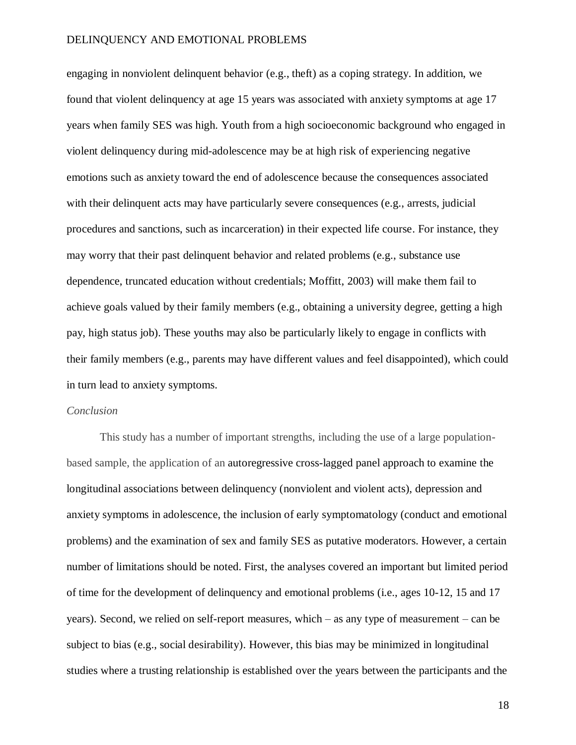engaging in nonviolent delinquent behavior (e.g., theft) as a coping strategy. In addition, we found that violent delinquency at age 15 years was associated with anxiety symptoms at age 17 years when family SES was high. Youth from a high socioeconomic background who engaged in violent delinquency during mid-adolescence may be at high risk of experiencing negative emotions such as anxiety toward the end of adolescence because the consequences associated with their delinquent acts may have particularly severe consequences (e.g., arrests, judicial procedures and sanctions, such as incarceration) in their expected life course. For instance, they may worry that their past delinquent behavior and related problems (e.g., substance use dependence, truncated education without credentials; Moffitt, 2003) will make them fail to achieve goals valued by their family members (e.g., obtaining a university degree, getting a high pay, high status job). These youths may also be particularly likely to engage in conflicts with their family members (e.g., parents may have different values and feel disappointed), which could in turn lead to anxiety symptoms.

## *Conclusion*

This study has a number of important strengths, including the use of a large populationbased sample, the application of an autoregressive cross-lagged panel approach to examine the longitudinal associations between delinquency (nonviolent and violent acts), depression and anxiety symptoms in adolescence, the inclusion of early symptomatology (conduct and emotional problems) and the examination of sex and family SES as putative moderators. However, a certain number of limitations should be noted. First, the analyses covered an important but limited period of time for the development of delinquency and emotional problems (i.e., ages 10-12, 15 and 17 years). Second, we relied on self-report measures, which – as any type of measurement – can be subject to bias (e.g., social desirability). However, this bias may be minimized in longitudinal studies where a trusting relationship is established over the years between the participants and the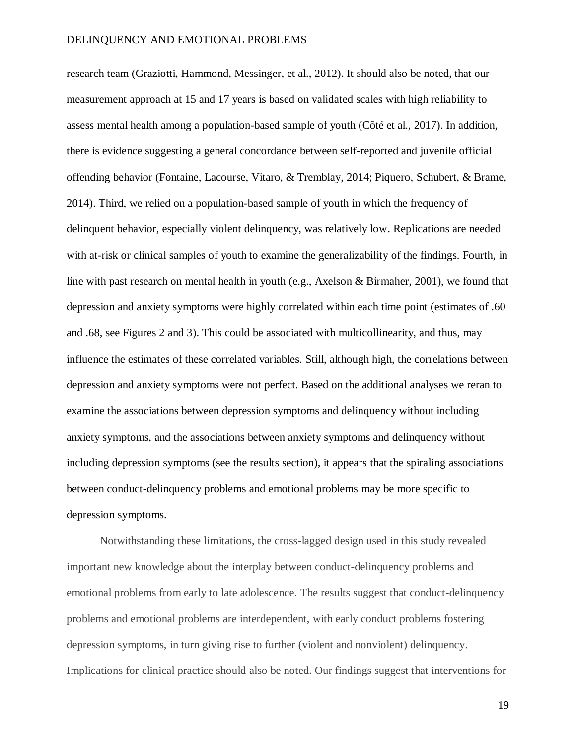research team (Graziotti, Hammond, Messinger, et al., 2012). It should also be noted, that our measurement approach at 15 and 17 years is based on validated scales with high reliability to assess mental health among a population-based sample of youth (Côté et al., 2017). In addition, there is evidence suggesting a general concordance between self-reported and juvenile official offending behavior (Fontaine, Lacourse, Vitaro, & Tremblay, 2014; Piquero, Schubert, & Brame, 2014). Third, we relied on a population-based sample of youth in which the frequency of delinquent behavior, especially violent delinquency, was relatively low. Replications are needed with at-risk or clinical samples of youth to examine the generalizability of the findings. Fourth, in line with past research on mental health in youth (e.g., Axelson & Birmaher, 2001), we found that depression and anxiety symptoms were highly correlated within each time point (estimates of .60 and .68, see Figures 2 and 3). This could be associated with multicollinearity, and thus, may influence the estimates of these correlated variables. Still, although high, the correlations between depression and anxiety symptoms were not perfect. Based on the additional analyses we reran to examine the associations between depression symptoms and delinquency without including anxiety symptoms, and the associations between anxiety symptoms and delinquency without including depression symptoms (see the results section), it appears that the spiraling associations between conduct-delinquency problems and emotional problems may be more specific to depression symptoms.

Notwithstanding these limitations, the cross-lagged design used in this study revealed important new knowledge about the interplay between conduct-delinquency problems and emotional problems from early to late adolescence. The results suggest that conduct-delinquency problems and emotional problems are interdependent, with early conduct problems fostering depression symptoms, in turn giving rise to further (violent and nonviolent) delinquency. Implications for clinical practice should also be noted. Our findings suggest that interventions for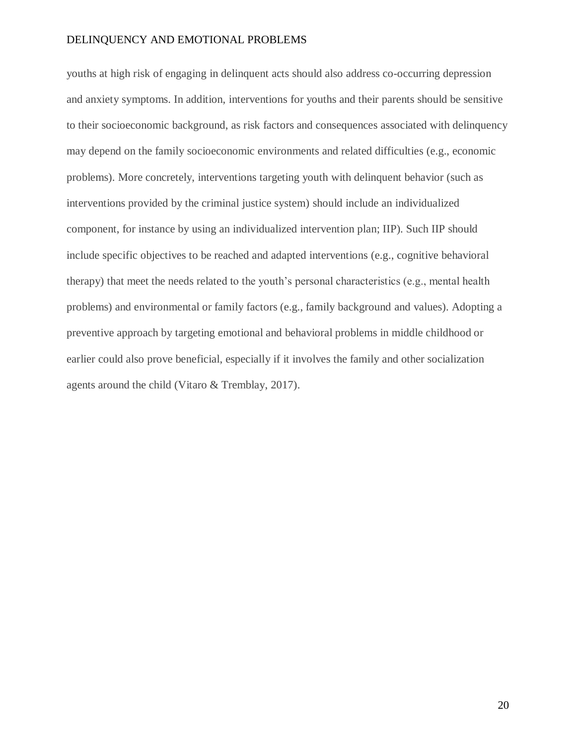youths at high risk of engaging in delinquent acts should also address co-occurring depression and anxiety symptoms. In addition, interventions for youths and their parents should be sensitive to their socioeconomic background, as risk factors and consequences associated with delinquency may depend on the family socioeconomic environments and related difficulties (e.g., economic problems). More concretely, interventions targeting youth with delinquent behavior (such as interventions provided by the criminal justice system) should include an individualized component, for instance by using an individualized intervention plan; IIP). Such IIP should include specific objectives to be reached and adapted interventions (e.g., cognitive behavioral therapy) that meet the needs related to the youth's personal characteristics (e.g., mental health problems) and environmental or family factors (e.g., family background and values). Adopting a preventive approach by targeting emotional and behavioral problems in middle childhood or earlier could also prove beneficial, especially if it involves the family and other socialization agents around the child (Vitaro & Tremblay, 2017).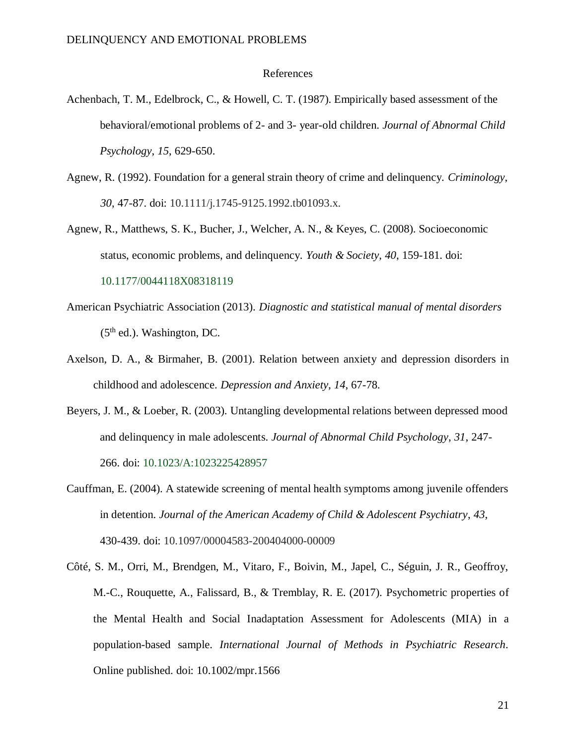## References

- Achenbach, T. M., Edelbrock, C., & Howell, C. T. (1987). Empirically based assessment of the behavioral/emotional problems of 2- and 3- year-old children. *Journal of Abnormal Child Psychology*, *15*, 629-650.
- Agnew, R. (1992). Foundation for a general strain theory of crime and delinquency. *Criminology*, *30*, 47-87. doi: 10.1111/j.1745-9125.1992.tb01093.x.
- Agnew, R., Matthews, S. K., Bucher, J., Welcher, A. N., & Keyes, C. (2008). Socioeconomic status, economic problems, and delinquency. *Youth & Society*, *40*, 159-181. doi:

10.1177/0044118X08318119

- American Psychiatric Association (2013). *Diagnostic and statistical manual of mental disorders*  $(5<sup>th</sup>$  ed.). Washington, DC.
- Axelson, D. A., & Birmaher, B. (2001). Relation between anxiety and depression disorders in childhood and adolescence. *Depression and Anxiety*, *14*, 67-78.
- Beyers, J. M., & Loeber, R. (2003). Untangling developmental relations between depressed mood and delinquency in male adolescents. *Journal of Abnormal Child Psychology*, *31*, 247- 266. doi: 10.1023/A:1023225428957
- Cauffman, E. (2004). A statewide screening of mental health symptoms among juvenile offenders in detention. *Journal of the American Academy of Child & Adolescent Psychiatry*, *43*, 430-439. doi: [10.1097/00004583-200404000-00009](https://doi.org/10.1097/00004583-200404000-00009)
- Côté, S. M., Orri, M., Brendgen, M., Vitaro, F., Boivin, M., Japel, C., Séguin, J. R., Geoffroy, M.-C., Rouquette, A., Falissard, B., & Tremblay, R. E. (2017). Psychometric properties of the Mental Health and Social Inadaptation Assessment for Adolescents (MIA) in a population-based sample. *International Journal of Methods in Psychiatric Research.* Online published. doi: 10.1002/mpr.1566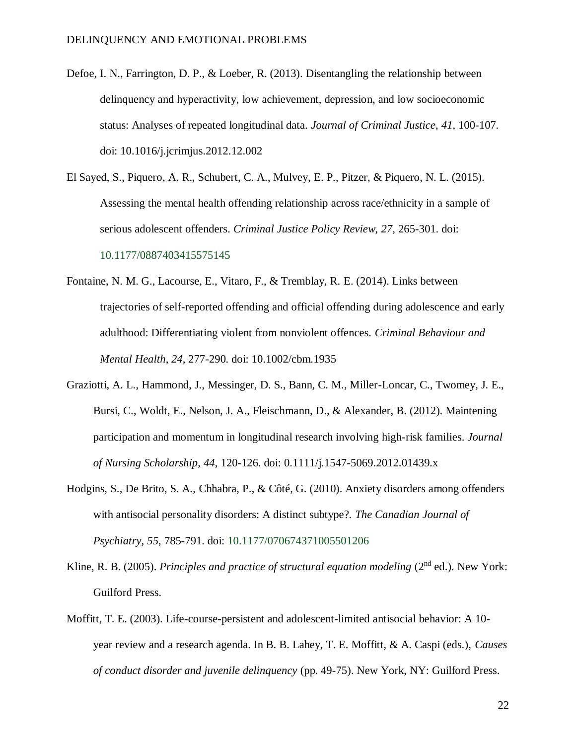- Defoe, I. N., Farrington, D. P., & Loeber, R. (2013). Disentangling the relationship between delinquency and hyperactivity, low achievement, depression, and low socioeconomic status: Analyses of repeated longitudinal data. *Journal of Criminal Justice*, *41*, 100-107. doi: 10.1016/j.jcrimjus.2012.12.002
- El Sayed, S., Piquero, A. R., Schubert, C. A., Mulvey, E. P., Pitzer, & Piquero, N. L. (2015). Assessing the mental health offending relationship across race/ethnicity in a sample of serious adolescent offenders. *Criminal Justice Policy Review*, *27*, 265-301. doi: 10.1177/0887403415575145
- Fontaine, N. M. G., Lacourse, E., Vitaro, F., & Tremblay, R. E. (2014). Links between trajectories of self-reported offending and official offending during adolescence and early adulthood: Differentiating violent from nonviolent offences. *Criminal Behaviour and Mental Health*, *24*, 277-290. doi: 10.1002/cbm.1935
- Graziotti, A. L., Hammond, J., Messinger, D. S., Bann, C. M., Miller-Loncar, C., Twomey, J. E., Bursi, C., Woldt, E., Nelson, J. A., Fleischmann, D., & Alexander, B. (2012). Maintening participation and momentum in longitudinal research involving high-risk families. *Journal of Nursing Scholarship*, *44*, 120-126. doi: 0.1111/j.1547-5069.2012.01439.x
- Hodgins, S., De Brito, S. A., Chhabra, P., & Côté, G. (2010). Anxiety disorders among offenders with antisocial personality disorders: A distinct subtype?. *The Canadian Journal of Psychiatry*, *55*, 785-791. doi: 10.1177/070674371005501206
- Kline, R. B. (2005). *Principles and practice of structural equation modeling* (2<sup>nd</sup> ed.). New York: Guilford Press.
- Moffitt, T. E. (2003). Life-course-persistent and adolescent-limited antisocial behavior: A 10 year review and a research agenda. In B. B. Lahey, T. E. Moffitt, & A. Caspi (eds.), *Causes of conduct disorder and juvenile delinquency* (pp. 49-75). New York, NY: Guilford Press.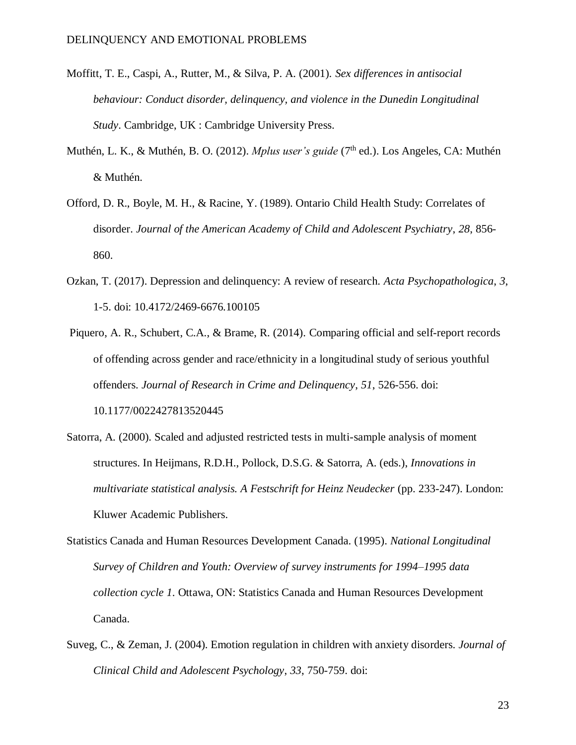- Moffitt, T. E., Caspi, A., Rutter, M., & Silva, P. A. (2001). *Sex differences in antisocial behaviour: Conduct disorder, delinquency, and violence in the Dunedin Longitudinal Study*. Cambridge, UK : Cambridge University Press.
- Muthén, L. K., & Muthén, B. O. (2012). *Mplus user's guide* (7<sup>th</sup> ed.). Los Angeles, CA: Muthén & Muthén.
- Offord, D. R., Boyle, M. H., & Racine, Y. (1989). Ontario Child Health Study: Correlates of disorder. *Journal of the American Academy of Child and Adolescent Psychiatry*, *28*, 856- 860.
- Ozkan, T. (2017). Depression and delinquency: A review of research. *Acta Psychopathologica*, *3*, 1-5. doi: 10.4172/2469-6676.100105
- Piquero, A. R., Schubert, C.A., & Brame, R. (2014). Comparing official and self-report records of offending across gender and race/ethnicity in a longitudinal study of serious youthful offenders. *Journal of Research in Crime and Delinquency*, *51*, 526-556. doi: 10.1177/0022427813520445
- Satorra, A. (2000). Scaled and adjusted restricted tests in multi-sample analysis of moment structures. In Heijmans, R.D.H., Pollock, D.S.G. & Satorra, A. (eds.), *Innovations in multivariate statistical analysis. A Festschrift for Heinz Neudecker* (pp. 233-247). London: Kluwer Academic Publishers.
- Statistics Canada and Human Resources Development Canada. (1995). *National Longitudinal Survey of Children and Youth: Overview of survey instruments for 1994–1995 data collection cycle 1*. Ottawa, ON: Statistics Canada and Human Resources Development Canada.
- Suveg, C., & Zeman, J. (2004). Emotion regulation in children with anxiety disorders. *Journal of Clinical Child and Adolescent Psychology*, *33*, 750-759. doi: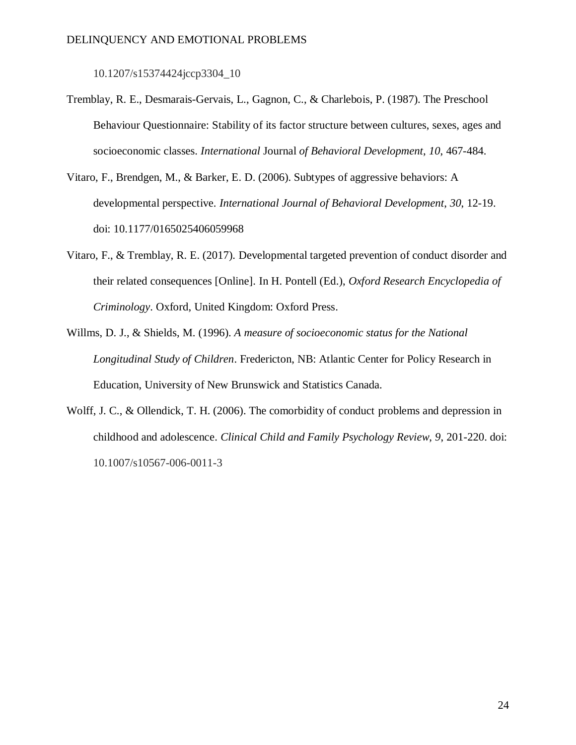[10.1207/s15374424jccp3304\\_10](https://doi.org/10.1207/s15374424jccp3304_10)

- Tremblay, R. E., Desmarais-Gervais, L., Gagnon, C., & Charlebois, P. (1987). The Preschool Behaviour Questionnaire: Stability of its factor structure between cultures, sexes, ages and socioeconomic classes. *International* Journal *of Behavioral Development*, *10*, 467-484.
- Vitaro, F., Brendgen, M., & Barker, E. D. (2006). Subtypes of aggressive behaviors: A developmental perspective. *International Journal of Behavioral Development*, *30*, 12-19. doi: 10.1177/0165025406059968
- Vitaro, F., & Tremblay, R. E. (2017). Developmental targeted prevention of conduct disorder and their related consequences [Online]. In H. Pontell (Ed.), *Oxford Research Encyclopedia of Criminology*. Oxford, United Kingdom: Oxford Press.
- Willms, D. J., & Shields, M. (1996). *A measure of socioeconomic status for the National Longitudinal Study of Children*. Fredericton, NB: Atlantic Center for Policy Research in Education, University of New Brunswick and Statistics Canada.
- Wolff, J. C., & Ollendick, T. H. (2006). The comorbidity of conduct problems and depression in childhood and adolescence. *Clinical Child and Family Psychology Review*, *9*, 201-220. doi: [10.1007/s10567-006-0011-3](https://doi.org/10.1007/s10567-006-0011-3)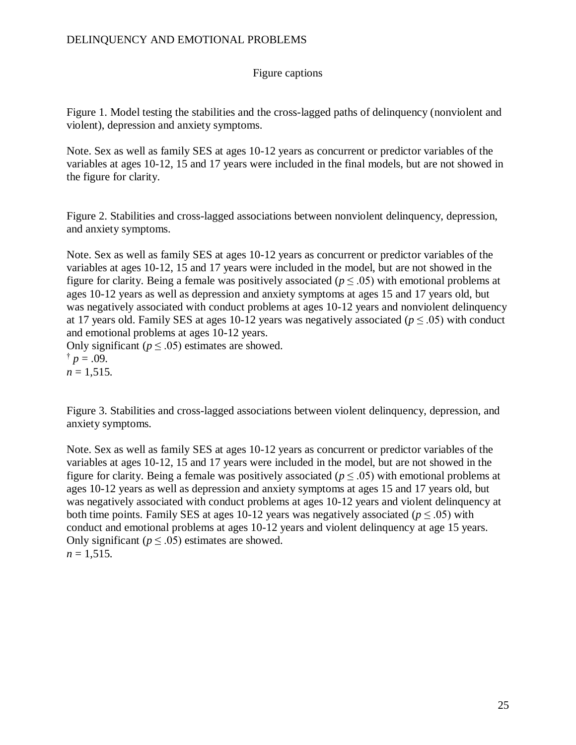# Figure captions

Figure 1. Model testing the stabilities and the cross-lagged paths of delinquency (nonviolent and violent), depression and anxiety symptoms.

Note. Sex as well as family SES at ages 10-12 years as concurrent or predictor variables of the variables at ages 10-12, 15 and 17 years were included in the final models, but are not showed in the figure for clarity.

Figure 2. Stabilities and cross-lagged associations between nonviolent delinquency, depression, and anxiety symptoms.

Note. Sex as well as family SES at ages 10-12 years as concurrent or predictor variables of the variables at ages 10-12, 15 and 17 years were included in the model, but are not showed in the figure for clarity. Being a female was positively associated ( $p \le 0.05$ ) with emotional problems at ages 10-12 years as well as depression and anxiety symptoms at ages 15 and 17 years old, but was negatively associated with conduct problems at ages 10-12 years and nonviolent delinquency at 17 years old. Family SES at ages 10-12 years was negatively associated ( $p \leq .05$ ) with conduct and emotional problems at ages 10-12 years.

Only significant ( $p \leq .05$ ) estimates are showed.

 $\dagger p = .09$ .  $n = 1,515$ .

Figure 3. Stabilities and cross-lagged associations between violent delinquency, depression, and anxiety symptoms.

Note. Sex as well as family SES at ages 10-12 years as concurrent or predictor variables of the variables at ages 10-12, 15 and 17 years were included in the model, but are not showed in the figure for clarity. Being a female was positively associated ( $p \leq .05$ ) with emotional problems at ages 10-12 years as well as depression and anxiety symptoms at ages 15 and 17 years old, but was negatively associated with conduct problems at ages 10-12 years and violent delinquency at both time points. Family SES at ages 10-12 years was negatively associated ( $p \leq .05$ ) with conduct and emotional problems at ages 10-12 years and violent delinquency at age 15 years. Only significant ( $p \leq .05$ ) estimates are showed.  $n = 1,515$ .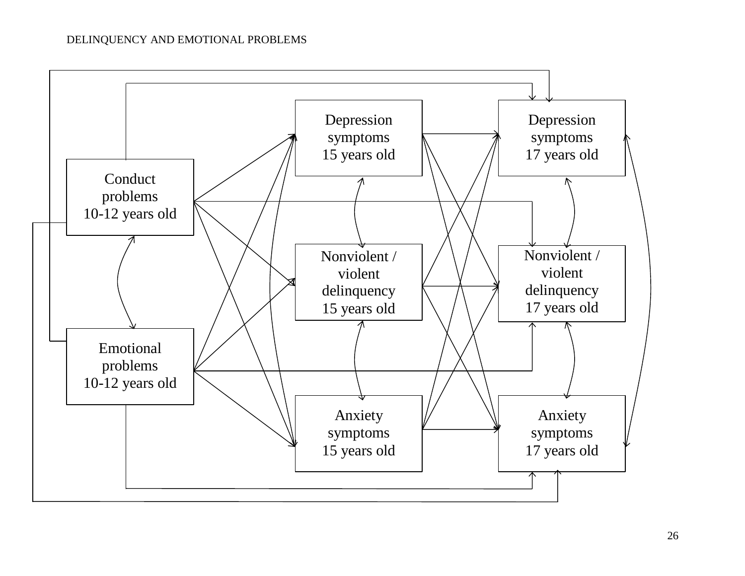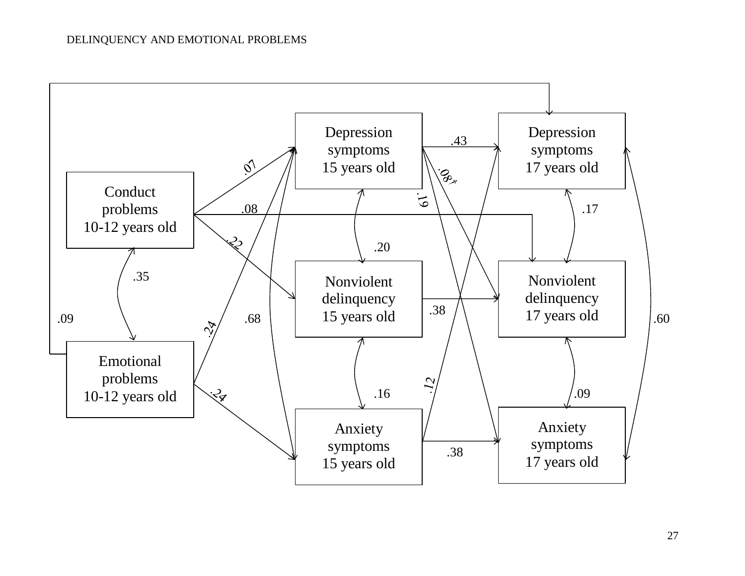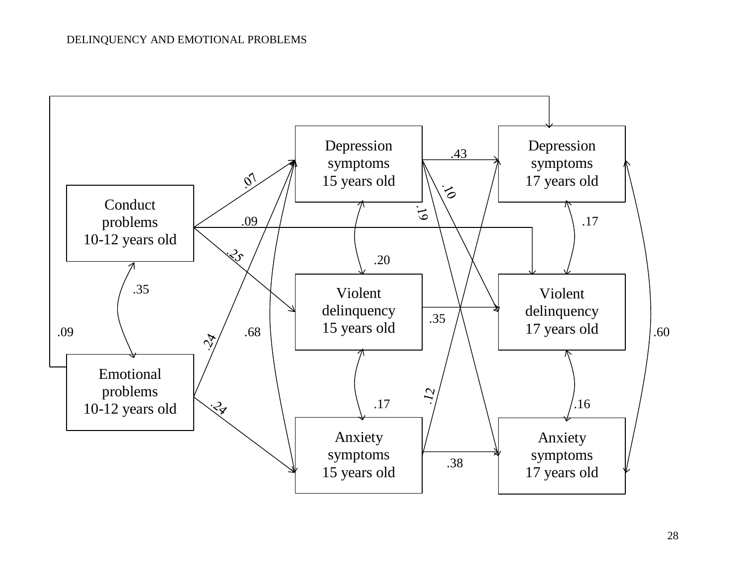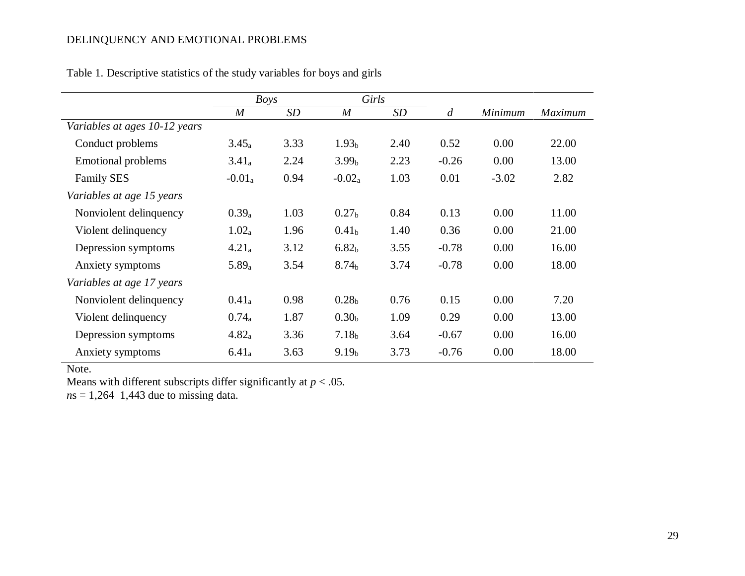|                               | <b>Boys</b>    |      | Girls             |      |                |                |                |
|-------------------------------|----------------|------|-------------------|------|----------------|----------------|----------------|
|                               | $\overline{M}$ | SD   | $\boldsymbol{M}$  | SD   | $\overline{d}$ | <b>Minimum</b> | <b>Maximum</b> |
| Variables at ages 10-12 years |                |      |                   |      |                |                |                |
| Conduct problems              | $3.45_a$       | 3.33 | 1.93 <sub>b</sub> | 2.40 | 0.52           | 0.00           | 22.00          |
| <b>Emotional problems</b>     | $3.41_a$       | 2.24 | 3.99 <sub>b</sub> | 2.23 | $-0.26$        | 0.00           | 13.00          |
| <b>Family SES</b>             | $-0.01_a$      | 0.94 | $-0.02_a$         | 1.03 | 0.01           | $-3.02$        | 2.82           |
| Variables at age 15 years     |                |      |                   |      |                |                |                |
| Nonviolent delinquency        | $0.39_a$       | 1.03 | 0.27 <sub>b</sub> | 0.84 | 0.13           | 0.00           | 11.00          |
| Violent delinquency           | $1.02_a$       | 1.96 | 0.41 <sub>b</sub> | 1.40 | 0.36           | 0.00           | 21.00          |
| Depression symptoms           | $4.21_a$       | 3.12 | 6.82 <sub>b</sub> | 3.55 | $-0.78$        | 0.00           | 16.00          |
| Anxiety symptoms              | $5.89_a$       | 3.54 | 8.74 <sub>b</sub> | 3.74 | $-0.78$        | 0.00           | 18.00          |
| Variables at age 17 years     |                |      |                   |      |                |                |                |
| Nonviolent delinquency        | $0.41_a$       | 0.98 | 0.28 <sub>b</sub> | 0.76 | 0.15           | 0.00           | 7.20           |
| Violent delinquency           | $0.74_a$       | 1.87 | 0.30 <sub>b</sub> | 1.09 | 0.29           | 0.00           | 13.00          |
| Depression symptoms           | $4.82_a$       | 3.36 | 7.18 <sub>b</sub> | 3.64 | $-0.67$        | 0.00           | 16.00          |
| Anxiety symptoms              | $6.41_a$       | 3.63 | 9.19 <sub>b</sub> | 3.73 | $-0.76$        | 0.00           | 18.00          |

Table 1. Descriptive statistics of the study variables for boys and girls

Note.

Means with different subscripts differ significantly at  $p < .05$ .

*n*s = 1,264–1,443 due to missing data.